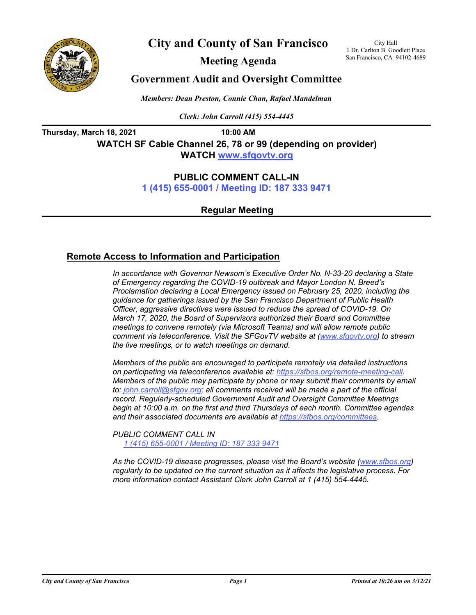

**City and County of San Francisco**

**Meeting Agenda**

City Hall 1 Dr. Carlton B. Goodlett Place San Francisco, CA 94102-4689

# **Government Audit and Oversight Committee**

*Members: Dean Preston, Connie Chan, Rafael Mandelman*

*Clerk: John Carroll (415) 554-4445*

**Thursday, March 18, 2021 10:00 AM WATCH SF Cable Channel 26, 78 or 99 (depending on provider) WATC[H www.sfgovtv.org](www.sfgovtv.org)**

## **PUBLIC COMMENT CALL-IN**

**[1 \(415\) 655-0001 / Meeting ID: 187 333 9471](tel:+14156550001,,1873339471#,,#)**

**Regular Meeting**

## **Remote Access to Information and Participation**

*In accordance with Governor Newsom's Executive Order No. N-33-20 declaring a State of Emergency regarding the COVID-19 outbreak and Mayor London N. Breed's Proclamation declaring a Local Emergency issued on February 25, 2020, including the guidance for gatherings issued by the San Francisco Department of Public Health Officer, aggressive directives were issued to reduce the spread of COVID-19. On March 17, 2020, the Board of Supervisors authorized their Board and Committee meetings to convene remotely (via Microsoft Teams) and will allow remote public comment via teleconference. Visit the SFGovTV website at [\(www.sfgovtv.org](www.sfgovtv.org)) to stream the live meetings, or to watch meetings on demand.* 

*Members of the public are encouraged to participate remotely via detailed instructions on participating via teleconference available at: [https://sfbos.org/remote-meeting-call.](https://sfbos.org/remote-meeting-call) Members of the public may participate by phone or may submit their comments by email to: john.carroll@sfgov.org; all comments received will be made a part of the official record. Regularly-scheduled Government Audit and Oversight Committee Meetings begin at 10:00 a.m. on the first and third Thursdays of each month. Committee agendas and their associated documents are available at [https://sfbos.org/committees.](https://sfbos.org/committees)*

*PUBLIC COMMENT CALL IN [1 \(415\) 655-0001 / Meeting ID: 187 333 9471](tel:+14156550001,,1873339471#,,#)*

*As the COVID-19 disease progresses, please visit the Board's website [\(www.sfbos.org\)](www.sfbos.org) regularly to be updated on the current situation as it affects the legislative process. For more information contact Assistant Clerk John Carroll at 1 (415) 554-4445.*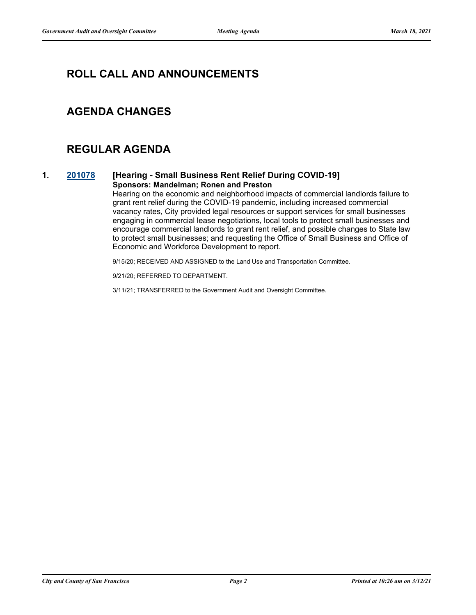# **ROLL CALL AND ANNOUNCEMENTS**

# **AGENDA CHANGES**

# **REGULAR AGENDA**

### **1. [201078](http://sfgov.legistar.com/gateway.aspx?m=l&id=36514) [Hearing - Small Business Rent Relief During COVID-19] Sponsors: Mandelman; Ronen and Preston**

Hearing on the economic and neighborhood impacts of commercial landlords failure to grant rent relief during the COVID-19 pandemic, including increased commercial vacancy rates, City provided legal resources or support services for small businesses engaging in commercial lease negotiations, local tools to protect small businesses and encourage commercial landlords to grant rent relief, and possible changes to State law to protect small businesses; and requesting the Office of Small Business and Office of Economic and Workforce Development to report.

9/15/20; RECEIVED AND ASSIGNED to the Land Use and Transportation Committee.

9/21/20; REFERRED TO DEPARTMENT.

3/11/21; TRANSFERRED to the Government Audit and Oversight Committee.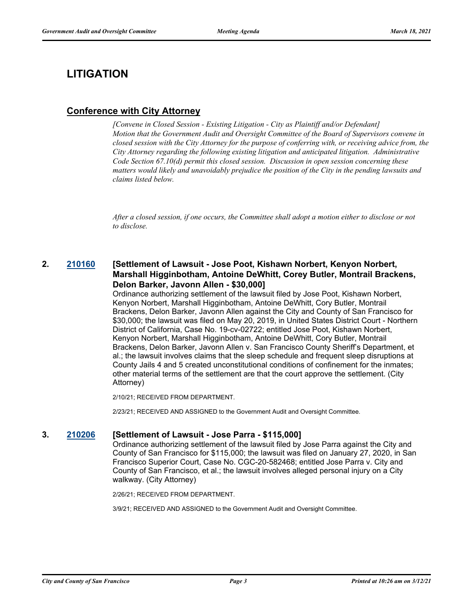# **LITIGATION**

# **Conference with City Attorney**

*[Convene in Closed Session - Existing Litigation - City as Plaintiff and/or Defendant] Motion that the Government Audit and Oversight Committee of the Board of Supervisors convene in closed session with the City Attorney for the purpose of conferring with, or receiving advice from, the City Attorney regarding the following existing litigation and anticipated litigation. Administrative Code Section 67.10(d) permit this closed session. Discussion in open session concerning these matters would likely and unavoidably prejudice the position of the City in the pending lawsuits and claims listed below.*

*After a closed session, if one occurs, the Committee shall adopt a motion either to disclose or not to disclose.*

## **2. [210160](http://sfgov.legistar.com/gateway.aspx?m=l&id=37030) [Settlement of Lawsuit - Jose Poot, Kishawn Norbert, Kenyon Norbert, Marshall Higginbotham, Antoine DeWhitt, Corey Butler, Montrail Brackens, Delon Barker, Javonn Allen - \$30,000]**

Ordinance authorizing settlement of the lawsuit filed by Jose Poot, Kishawn Norbert, Kenyon Norbert, Marshall Higginbotham, Antoine DeWhitt, Cory Butler, Montrail Brackens, Delon Barker, Javonn Allen against the City and County of San Francisco for \$30,000; the lawsuit was filed on May 20, 2019, in United States District Court - Northern District of California, Case No. 19-cv-02722; entitled Jose Poot, Kishawn Norbert, Kenyon Norbert, Marshall Higginbotham, Antoine DeWhitt, Cory Butler, Montrail Brackens, Delon Barker, Javonn Allen v. San Francisco County Sheriff's Department, et al.; the lawsuit involves claims that the sleep schedule and frequent sleep disruptions at County Jails 4 and 5 created unconstitutional conditions of confinement for the inmates; other material terms of the settlement are that the court approve the settlement. (City Attorney)

2/10/21; RECEIVED FROM DEPARTMENT.

2/23/21; RECEIVED AND ASSIGNED to the Government Audit and Oversight Committee.

### **3. [210206](http://sfgov.legistar.com/gateway.aspx?m=l&id=37076) [Settlement of Lawsuit - Jose Parra - \$115,000]**

Ordinance authorizing settlement of the lawsuit filed by Jose Parra against the City and County of San Francisco for \$115,000; the lawsuit was filed on January 27, 2020, in San Francisco Superior Court, Case No. CGC-20-582468; entitled Jose Parra v. City and County of San Francisco, et al.; the lawsuit involves alleged personal injury on a City walkway. (City Attorney)

2/26/21; RECEIVED FROM DEPARTMENT.

3/9/21; RECEIVED AND ASSIGNED to the Government Audit and Oversight Committee.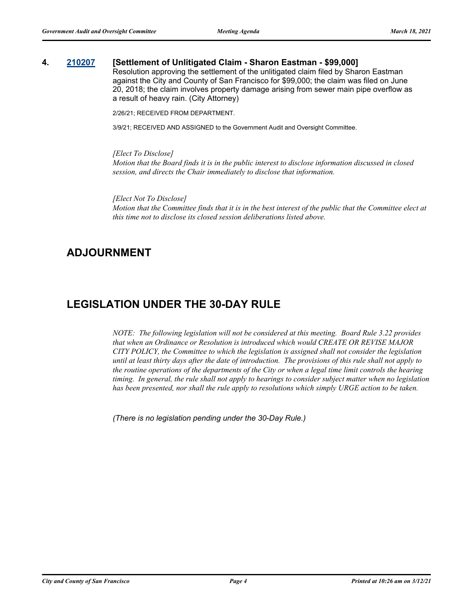### **4. [210207](http://sfgov.legistar.com/gateway.aspx?m=l&id=37077) [Settlement of Unlitigated Claim - Sharon Eastman - \$99,000]**

Resolution approving the settlement of the unlitigated claim filed by Sharon Eastman against the City and County of San Francisco for \$99,000; the claim was filed on June 20, 2018; the claim involves property damage arising from sewer main pipe overflow as a result of heavy rain. (City Attorney)

2/26/21; RECEIVED FROM DEPARTMENT.

3/9/21; RECEIVED AND ASSIGNED to the Government Audit and Oversight Committee.

*[Elect To Disclose] Motion that the Board finds it is in the public interest to disclose information discussed in closed session, and directs the Chair immediately to disclose that information.*

*[Elect Not To Disclose] Motion that the Committee finds that it is in the best interest of the public that the Committee elect at this time not to disclose its closed session deliberations listed above.*

# **ADJOURNMENT**

# **LEGISLATION UNDER THE 30-DAY RULE**

*NOTE: The following legislation will not be considered at this meeting. Board Rule 3.22 provides that when an Ordinance or Resolution is introduced which would CREATE OR REVISE MAJOR CITY POLICY, the Committee to which the legislation is assigned shall not consider the legislation until at least thirty days after the date of introduction. The provisions of this rule shall not apply to the routine operations of the departments of the City or when a legal time limit controls the hearing timing. In general, the rule shall not apply to hearings to consider subject matter when no legislation has been presented, nor shall the rule apply to resolutions which simply URGE action to be taken.*

*(There is no legislation pending under the 30-Day Rule.)*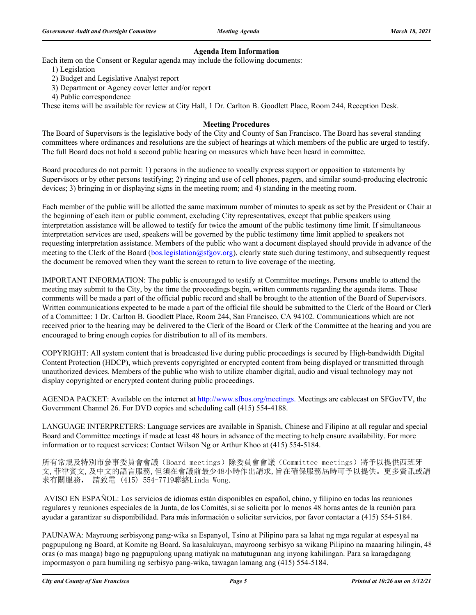### **Agenda Item Information**

Each item on the Consent or Regular agenda may include the following documents:

- 1) Legislation
- 2) Budget and Legislative Analyst report
- 3) Department or Agency cover letter and/or report
- 4) Public correspondence

These items will be available for review at City Hall, 1 Dr. Carlton B. Goodlett Place, Room 244, Reception Desk.

### **Meeting Procedures**

The Board of Supervisors is the legislative body of the City and County of San Francisco. The Board has several standing committees where ordinances and resolutions are the subject of hearings at which members of the public are urged to testify. The full Board does not hold a second public hearing on measures which have been heard in committee.

Board procedures do not permit: 1) persons in the audience to vocally express support or opposition to statements by Supervisors or by other persons testifying; 2) ringing and use of cell phones, pagers, and similar sound-producing electronic devices; 3) bringing in or displaying signs in the meeting room; and 4) standing in the meeting room.

Each member of the public will be allotted the same maximum number of minutes to speak as set by the President or Chair at the beginning of each item or public comment, excluding City representatives, except that public speakers using interpretation assistance will be allowed to testify for twice the amount of the public testimony time limit. If simultaneous interpretation services are used, speakers will be governed by the public testimony time limit applied to speakers not requesting interpretation assistance. Members of the public who want a document displayed should provide in advance of the meeting to the Clerk of the Board (bos.legislation@sfgov.org), clearly state such during testimony, and subsequently request the document be removed when they want the screen to return to live coverage of the meeting.

IMPORTANT INFORMATION: The public is encouraged to testify at Committee meetings. Persons unable to attend the meeting may submit to the City, by the time the proceedings begin, written comments regarding the agenda items. These comments will be made a part of the official public record and shall be brought to the attention of the Board of Supervisors. Written communications expected to be made a part of the official file should be submitted to the Clerk of the Board or Clerk of a Committee: 1 Dr. Carlton B. Goodlett Place, Room 244, San Francisco, CA 94102. Communications which are not received prior to the hearing may be delivered to the Clerk of the Board or Clerk of the Committee at the hearing and you are encouraged to bring enough copies for distribution to all of its members.

COPYRIGHT: All system content that is broadcasted live during public proceedings is secured by High-bandwidth Digital Content Protection (HDCP), which prevents copyrighted or encrypted content from being displayed or transmitted through unauthorized devices. Members of the public who wish to utilize chamber digital, audio and visual technology may not display copyrighted or encrypted content during public proceedings.

AGENDA PACKET: Available on the internet at http://www.sfbos.org/meetings. Meetings are cablecast on SFGovTV, the Government Channel 26. For DVD copies and scheduling call (415) 554-4188.

LANGUAGE INTERPRETERS: Language services are available in Spanish, Chinese and Filipino at all regular and special Board and Committee meetings if made at least 48 hours in advance of the meeting to help ensure availability. For more information or to request services: Contact Wilson Ng or Arthur Khoo at (415) 554-5184.

所有常規及特別市參事委員會會議(Board meetings)除委員會會議(Committee meetings)將予以提供西班牙 文,菲律賓文,及中文的語言服務,但須在會議前最少48小時作出請求,旨在確保服務屆時可予以提供。更多資訊或請 求有關服務, 請致電 (415) 554-7719聯絡Linda Wong.

 AVISO EN ESPAÑOL: Los servicios de idiomas están disponibles en español, chino, y filipino en todas las reuniones regulares y reuniones especiales de la Junta, de los Comités, si se solicita por lo menos 48 horas antes de la reunión para ayudar a garantizar su disponibilidad. Para más información o solicitar servicios, por favor contactar a (415) 554-5184.

PAUNAWA: Mayroong serbisyong pang-wika sa Espanyol, Tsino at Pilipino para sa lahat ng mga regular at espesyal na pagpupulong ng Board, at Komite ng Board. Sa kasalukuyan, mayroong serbisyo sa wikang Pilipino na maaaring hilingin, 48 oras (o mas maaga) bago ng pagpupulong upang matiyak na matutugunan ang inyong kahilingan. Para sa karagdagang impormasyon o para humiling ng serbisyo pang-wika, tawagan lamang ang (415) 554-5184.